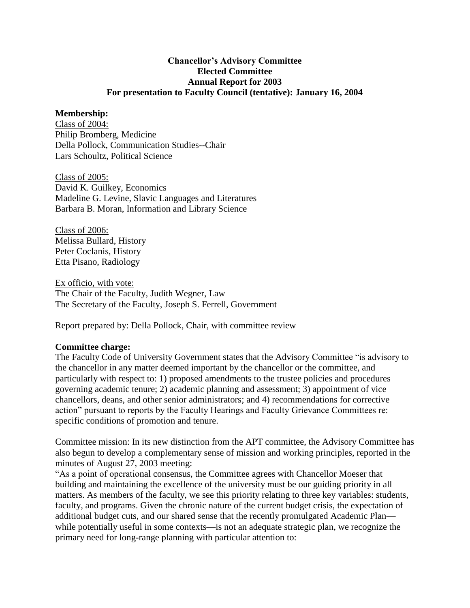### **Chancellor's Advisory Committee Elected Committee Annual Report for 2003 For presentation to Faculty Council (tentative): January 16, 2004**

#### **Membership:**

Class of 2004: Philip Bromberg, Medicine Della Pollock, Communication Studies--Chair Lars Schoultz, Political Science

Class of 2005: David K. Guilkey, Economics Madeline G. Levine, Slavic Languages and Literatures Barbara B. Moran, Information and Library Science

Class of 2006: Melissa Bullard, History Peter Coclanis, History Etta Pisano, Radiology

Ex officio, with vote: The Chair of the Faculty, Judith Wegner, Law The Secretary of the Faculty, Joseph S. Ferrell, Government

Report prepared by: Della Pollock, Chair, with committee review

### **Committee charge:**

The Faculty Code of University Government states that the Advisory Committee "is advisory to the chancellor in any matter deemed important by the chancellor or the committee, and particularly with respect to: 1) proposed amendments to the trustee policies and procedures governing academic tenure; 2) academic planning and assessment; 3) appointment of vice chancellors, deans, and other senior administrators; and 4) recommendations for corrective action" pursuant to reports by the Faculty Hearings and Faculty Grievance Committees re: specific conditions of promotion and tenure.

Committee mission: In its new distinction from the APT committee, the Advisory Committee has also begun to develop a complementary sense of mission and working principles, reported in the minutes of August 27, 2003 meeting:

"As a point of operational consensus, the Committee agrees with Chancellor Moeser that building and maintaining the excellence of the university must be our guiding priority in all matters. As members of the faculty, we see this priority relating to three key variables: students, faculty, and programs. Given the chronic nature of the current budget crisis, the expectation of additional budget cuts, and our shared sense that the recently promulgated Academic Plan while potentially useful in some contexts—is not an adequate strategic plan, we recognize the primary need for long-range planning with particular attention to: